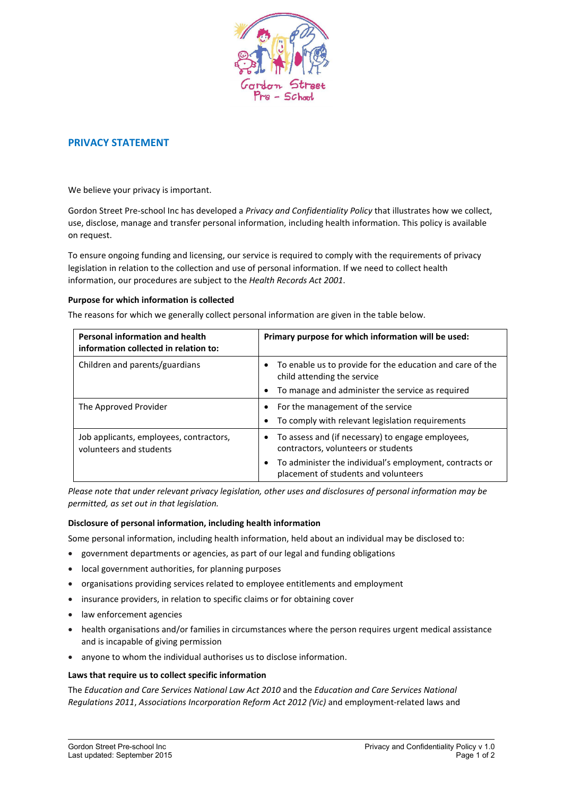

# PRIVACY STATEMENT

We believe your privacy is important.

Gordon Street Pre-school Inc has developed a *Privacy and Confidentiality Policy* that illustrates how we collect, use, disclose, manage and transfer personal information, including health information. This policy is available on request.

To ensure ongoing funding and licensing, our service is required to comply with the requirements of privacy legislation in relation to the collection and use of personal information. If we need to collect health information, our procedures are subject to the *Health Records Act 2001*.

#### Purpose for which information is collected

The reasons for which we generally collect personal information are given in the table below.

| <b>Personal information and health</b><br>information collected in relation to: | Primary purpose for which information will be used:                                                          |
|---------------------------------------------------------------------------------|--------------------------------------------------------------------------------------------------------------|
| Children and parents/guardians                                                  | To enable us to provide for the education and care of the<br>child attending the service                     |
|                                                                                 | To manage and administer the service as required<br>٠                                                        |
| The Approved Provider                                                           | For the management of the service<br>٠<br>To comply with relevant legislation requirements<br>٠              |
| Job applicants, employees, contractors,<br>volunteers and students              | To assess and (if necessary) to engage employees,<br>$\bullet$<br>contractors, volunteers or students        |
|                                                                                 | To administer the individual's employment, contracts or<br>$\bullet$<br>placement of students and volunteers |

*Please note that under relevant privacy legislation, other uses and disclosures of personal information may be permitted, as set out in that legislation.*

#### Disclosure of personal information, including health information

Some personal information, including health information, held about an individual may be disclosed to:

- government departments or agencies, as part of our legal and funding obligations
- local government authorities, for planning purposes
- organisations providing services related to employee entitlements and employment
- insurance providers, in relation to specific claims or for obtaining cover
- law enforcement agencies
- health organisations and/or families in circumstances where the person requires urgent medical assistance and is incapable of giving permission
- anyone to whom the individual authorises us to disclose information.

### Laws that require us to collect specific information

The *Education and Care Services National Law Act 2010* and the *Education and Care Services National Regulations 2011*, *Associations Incorporation Reform Act 2012 (Vic)* and employment-related laws and